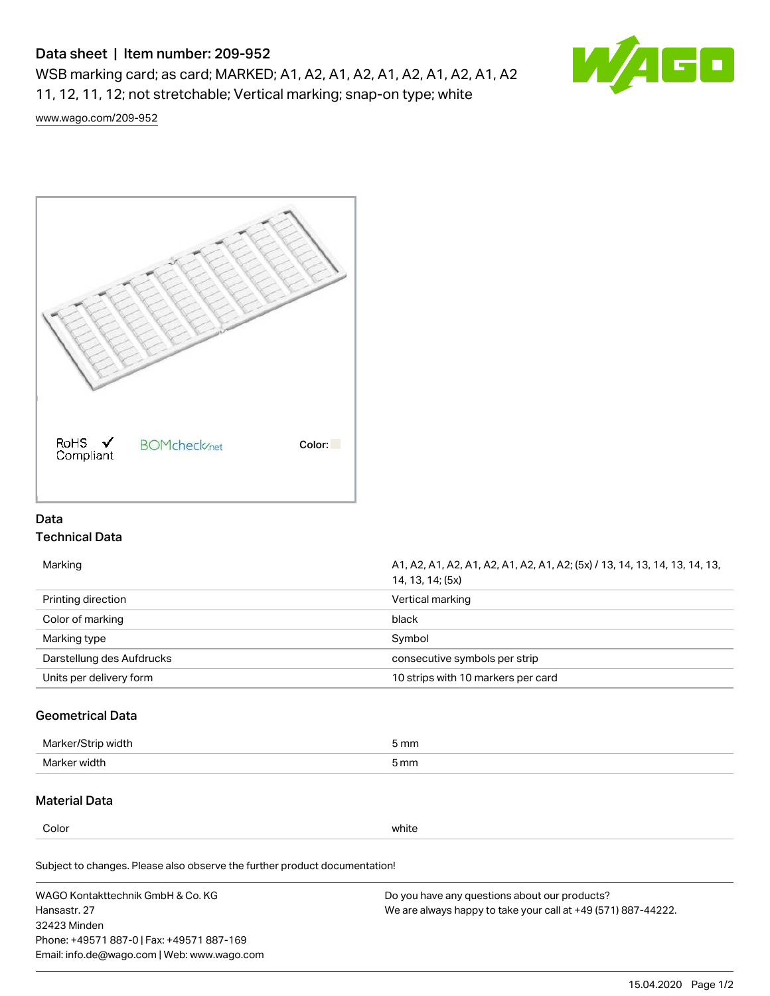# Data sheet | Item number: 209-952

WSB marking card; as card; MARKED; A1, A2, A1, A2, A1, A2, A1, A2, A1, A2 11, 12, 11, 12; not stretchable; Vertical marking; snap-on type; white



[www.wago.com/209-952](http://www.wago.com/209-952)



# Data Technical Data

| Marking                   | A1, A2, A1, A2, A1, A2, A1, A2, A1, A2; (5x) / 13, 14, 13, 14, 13, 14, 13,<br>14, 13, 14; (5x) |
|---------------------------|------------------------------------------------------------------------------------------------|
| Printing direction        | Vertical marking                                                                               |
| Color of marking          | black                                                                                          |
| Marking type              | Symbol                                                                                         |
| Darstellung des Aufdrucks | consecutive symbols per strip                                                                  |
| Units per delivery form   | 10 strips with 10 markers per card                                                             |
|                           |                                                                                                |

# Geometrical Data

| Marker/Strip<br>width ا | 5 mm |
|-------------------------|------|
| Marker width            | 5 mm |

### Material Data

Color white

Subject to changes. Please also observe the further product documentation!

WAGO Kontakttechnik GmbH & Co. KG Hansastr. 27 32423 Minden Phone: +49571 887-0 | Fax: +49571 887-169 Email: info.de@wago.com | Web: www.wago.com

Do you have any questions about our products? We are always happy to take your call at +49 (571) 887-44222.